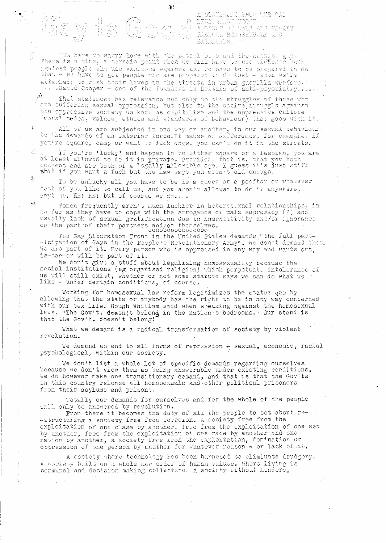A STATEMANT EROM THE GAY<br>{} LIZEMATION HRONT. gesport of the medicine RADICAL HOMOSEKUALS ARD **BISERGALS:** 

"We have to marry love with the patrol bast and the machine gun.<br>There is a time, a certain point when we will have to use violence back against people who use violence abainst us. We have to be prepared to do attacked; to risk their lives in the streets in urban guerilla warfare."<br>.....David Cooper - one of the founders in Britain of anti-psychiatry......

 $\mathbf{a}$ 

 $\mathbb{F}$ " That statement has relevance not only to the struggles of those who<br>are suffering sexual oppression, but also to the entire struggle against the oppressive society we know as capitalism and the oppressive culture (noral codes, values, ethics and standards of behaviour) that goes with it.

All of us are subjected in one way or another, in our sexual behaviour, to the demands of an exterior force. It makes no difference, for example, if you're square, camp or want to fuck dogs, you can't do it in the streets.

If you're 'lucky' and happen to be either square or a lesbian, you are<br>at least allowed to do it in private. Provided, that is, that you both<br>consent and are both of a legally allowable age. I guess it's just stiff shit if you want a fuck but the law says you aren't old enough.

To be unlucky all you have to be is a queer or a poofter or whatever nost of you like to call us, and you aren't allowed to de it anywhere, enyt he. HE! HE! but of course we do....

Women frequently aren't much luckier in heteresexual relatienships, in so far as they have to cope with the arrogance of male supremacy (?) and usually lack of sexual gratification due to insensitivity and/or ignorance on the part of their partners and/or themselves.

The Gay Liberation Front in the United States demands "the full part--icipation of Gays in the People's Revolutionary Army". We don't demand that We are part of it. Every person who is oppressed in any way and wants out, i

We don't give a stuff about legalizing homosexuality because the secial institutions (eg organised religion) which perpetuate intolerance of us will still exist, whether or not some statute says we can do what we like - under certain conditions, of course.

Working for homosexual law reform legitimizes the status quo by allowing that the state or anybody has the right to be in any way concerned with our sex life. Gough Whitlam said when speaking against the homosexual laws, "The Gov't. doesn't belond in the nation's bedrooms." Our stand is that the Gov't. doesn't belong!

What we demand is a radical transformation of society by violent revolution.

We demand an end to all forms of repression - sexual, economic, racial psychological, within our society.

We don't list a whole lot of specific demands regarding ourselves because we don't view them as being answerable under existing conditions. We do however make one transitionary demand, and that is that the Gov'ts in this country release all homosexuals and other political prisoners from their asylums and prisons.

Totally our demands for ourselves and for the whole of the people will only be answered by revolution.

From there it becomes the duty of all the people to set about re--atructuring a society free from coercion. A society free from the exploitation of one class by another, free from the exploitation of one sex by another, free from the exploitation of one race by another and one nation by another, a society free from the exploitation, domination or oppression of one person by another for whatever reason - or lack of it.

A society where technology has been harnesed to eliminate drudgery. A society built on a whole new order of human values. Where living is communal and decision making collective. A society without leaders,

 $\Box$ 

3)

وأن ا